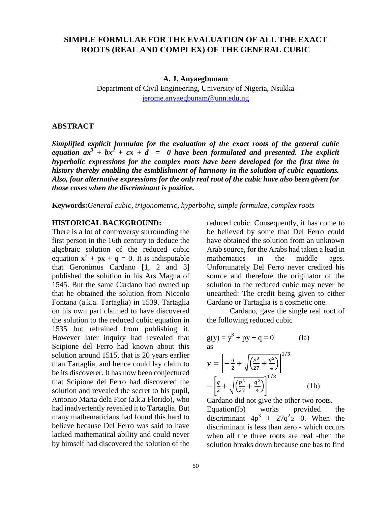# **SIMPLE FORMULAE FOR THE EVALUATION OF ALL THE EXACT ROOTS (REAL AND COMPLEX) OF THE GENERAL CUBIC**

**A. J. Anyaegbunam**

Department of Civil Engineering, University of Nigeria, Nsukka jerome.anyaegbunam@unn.edu.ng

### **ABSTRACT**

*Simplified explicit formulae for the evaluation of the exact roots of the general cubic equation*  $ax^3 + bx^2 + cx + d = 0$  *have been formulated and presented. The explicit hyperbolic expressions for the complex roots have been developed for the first time in history thereby enabling the establishment of harmony in the solution of cubic equations. Also, four alternative expressions for the only real root of the cubic have also been given for those cases when the discriminant is positive.* 

**Keywords:***General cubic, trigonometric, hyperbolic, simple formulae, complex roots*

## **HISTORICAL BACKGROUND:**

There is a lot of controversy surrounding the first person in the 16th century to deduce the algebraic solution of the reduced cubic equation  $x^3 + px + q = 0$ . It is indisputable that Geronimus Cardano [1, 2 and 3] published the solution in his Ars Magna of 1545. But the same Cardano had owned up that he obtained the solution from Niccolo Fontana (a.k.a. Tartaglia) in 1539. Tartaglia on his own part claimed to have discovered the solution to the reduced cubic equation in 1535 but refrained from publishing it. However later inquiry had revealed that Scipione del Ferro had known about this solution around 1515, that is 20 years earlier than Tartaglia, and hence could lay claim to be its discoverer. It has now been conjectured that Scipione del Ferro had discovered the solution and revealed the secret to his pupil, Antonio Maria dela Fior (a.k.a Florido), who had inadvertently revealed it to Tartaglia. But many mathematicians had found this hard to believe because Del Ferro was said to have lacked mathematical ability and could never by himself had discovered the solution of the

reduced cubic. Consequently, it has come to be believed by some that Del Ferro could have obtained the solution from an unknown Arab source, for the Arabs had taken a lead in mathematics in the middle ages. Unfortunately Del Ferro never credited his source and therefore the originator of the solution to the reduced cubic may never be unearthed: The credit being given to either Cardano or Tartaglia is a cosmetic one.

Cardano, gave the single real root of the following reduced cubic

$$
g(y) = y3 + py + q = 0
$$
 (la)  
as  

$$
y = \left[ -\frac{q}{2} + \sqrt{\left(\frac{p^{3}}{27} + \frac{q^{2}}{4}\right)} \right]^{1/3}
$$

$$
-\left[ \frac{q}{2} + \sqrt{\left(\frac{p^{3}}{27} + \frac{q^{2}}{4}\right)} \right]^{1/3}
$$
 (1b)

Cardano did not give the other two roots.

Equation(lb) works provided the discriminant  $4p^3 + 27q^2 \ge 0$ . When the discriminant is less than zero - which occurs when all the three roots are real -then the solution breaks down because one has to find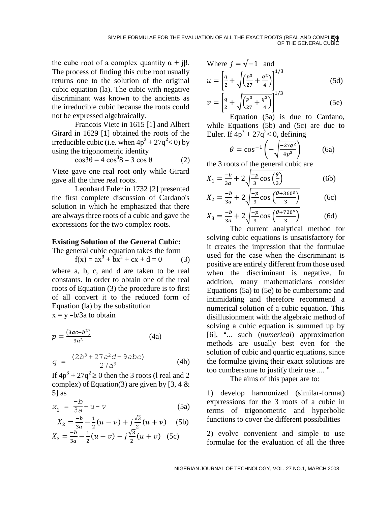the cube root of a complex quantity  $α + jβ$ . The process of finding this cube root usually returns one to the solution of the original cubic equation (la). The cubic with negative discriminant was known to the ancients as the irreducible cubic because the roots could not be expressed algebraically.

Francois Viete in 1615 [1] and Albert Girard in 1629 [1] obtained the roots of the irreducible cubic (i.e. when  $4p^3 + 27q^2 < 0$ ) by using the trigonometric identity

$$
\cos 3\theta = 4 \cos^3 8 - 3 \cos \theta \tag{2}
$$

Viete gave one real root only while Girard gave all the three real roots.

Leonhard Euler in 1732 [2] presented the first complete discussion of Cardano's solution in which he emphasized that there are always three roots of a cubic and gave the expressions for the two complex roots.

## **Existing Solution of the General Cubic:**

#### The general cubic equation takes the form

$$
f(x) = ax3 + bx2 + cx + d = 0
$$
 (3)

where a, b, c, and d are taken to be real constants. In order to obtain one of the real roots of Equation (3) the procedure is to first of all convert it to the reduced form of Equation (la) by the substitution  $x = y -b/3a$  to obtain

$$
p = \frac{(3ac - b^2)}{3a^2} \tag{4a}
$$

$$
q = \frac{(2b^3 + 27a^2d - 9abc)}{27a^3}
$$
 (4b)

If  $4p^3 + 27q^2 \ge 0$  then the 3 roots (1 real and 2 complex) of Equation(3) are given by [3, 4  $\&$ 5] as

$$
x_1 = \frac{-b}{3a} + u - v \tag{5a}
$$

$$
X_2 = \frac{-b}{3a} - \frac{1}{2}(u - v) + j\frac{\sqrt{3}}{2}(u + v)
$$
 (5b)  

$$
X_3 = \frac{-b}{2} - \frac{1}{2}(u - v) - j\frac{\sqrt{3}}{2}(u + v)
$$
 (5c)

$$
X_3 = \frac{-b}{3a} - \frac{1}{2}(u - v) - j\frac{\sqrt{3}}{2}(u + v) \quad (5c)
$$

Where 
$$
j = \sqrt{-1}
$$
 and  
\n
$$
u = \left[\frac{q}{2} + \sqrt{\left(\frac{p^3}{27} + \frac{q^2}{4}\right)}\right]^{1/3}
$$
\n(5d)

$$
v = \left[\frac{q}{2} + \sqrt{\left(\frac{p^3}{27} + \frac{q^2}{4}\right)}\right]^{1/3}
$$
(5e)

Equation (5a) is due to Cardano, while Equations (5b) and (5c) are due to Euler. If  $4p^3 + 27q^2 < 0$ , defining

$$
\theta = \cos^{-1}\left(-\sqrt{\frac{-27q^2}{4p^3}}\right) \tag{6a}
$$

the 3 roots of the general cubic are

$$
X_1 = \frac{-b}{3a} + 2\sqrt{\frac{-p}{3}\cos\left(\frac{\theta}{3}\right)}\tag{6b}
$$

$$
X_2 = \frac{-b}{3a} + 2\sqrt{\frac{-p}{3}\cos\left(\frac{\theta + 360^\circ}{3}\right)} \tag{6c}
$$

$$
X_3 = \frac{-b}{3a} + 2\sqrt{\frac{-p}{3}}\cos\left(\frac{\theta + 720^o}{3}\right) \tag{6d}
$$

The current analytical method for solving cubic equations is unsatisfactory for it creates the impression that the formulae used for the case when the discriminant is positive are entirely different from those used when the discriminant is negative. In addition, many mathematicians consider Equations (5a) to (5e) to be cumbersome and intimidating and therefore recommend a numerical solution of a cubic equation. This disillusionment with the algebraic method of solving a cubic equation is summed up by [6], A... such (*numerical*) approximation methods are usually best even for the solution of cubic and quartic equations, since the formulae giving their exact solutions are too cumbersome to justify their use .... "

The aims of this paper are to:

1) develop harmonized (similar-format) exprressions for the 3 roots of a cubic in terms of trigonometric and hyperbolic functions to cover the different possibilities

2) evolve convenient and simple to use formulae for the evaluation of all the three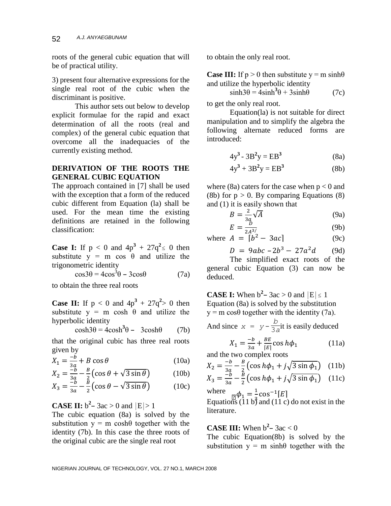roots of the general cubic equation that will be of practical utility.

3) present four alternative expressions for the single real root of the cubic when the discriminant is positive.

This author sets out below to develop explicit formulae for the rapid and exact determination of all the roots (real and complex) of the general cubic equation that overcome all the inadequacies of the currently existing method.

## **DERIVATION OF THE ROOTS THE GENERAL CUBIC EQUATION**

The approach contained in [7] shall be used with the exception that a form of the reduced cubic different from Equation (la) shall be used. For the mean time the existing definitions are retained in the following classification:

**Case I:** If  $p < 0$  and  $4p^3 + 27q^2 \le 0$  then substitute  $y = m \cos \theta$  and utilize the trigonometric identity

$$
\cos 3\theta = 4\cos^3 \theta - 3\cos \theta \tag{7a}
$$

to obtain the three real roots

**Case II:** If  $p < 0$  and  $4p^3 + 27q^2 > 0$  then substitute  $y = m \cosh \theta$  and utilize the hyperbolic identity

 $\cosh 3\theta = 4\cosh^3 \theta - 3\cosh \theta$  (7b)

that the original cubic has three real roots given by

$$
X_1 = \frac{-b}{3a} + B\cos\theta\tag{10a}
$$

$$
X_2 = \frac{-b}{3a} - \frac{B}{2} \left( \cos \theta + \sqrt{3 \sin \theta} \right) \tag{10b}
$$

$$
X_3 = \frac{-\tilde{b}}{3a} - \frac{\tilde{b}}{2} \left( \cos \theta - \sqrt{3 \sin \theta} \right) \tag{10c}
$$

# **CASE II:**  $b^2 - 3ac > 0$  and  $|E| > 1$

The cubic equation (8a) is solved by the substitution  $y = m \cosh\theta$  together with the identity (7b). In this case the three roots of the original cubic are the single real root

to obtain the only real root.

**Case III:** If  $p > 0$  then substitute  $y = m \sinh\theta$ and utilize the hyperbolic identity

$$
sinh3\theta = 4sinh3\theta + 3sinh\theta
$$
 (7c)

to get the only real root.

Equation(la) is not suitable for direct manipulation and to simplify the algebra the following alternate reduced forms are introduced:

$$
4y^3 - 3B^2y = EB^3 \tag{8a}
$$

$$
4y^3 + 3B^2y = EB^3 \tag{8b}
$$

where (8a) caters for the case when  $p < 0$  and (8b) for  $p > 0$ . By comparing Equations (8) and (1) it is easily shown that

$$
B = \frac{2}{3a} \sqrt{A}
$$
 (9a)

$$
\vec{E} = \frac{D}{2A^3/}
$$
 (9b)

 $E = \frac{D}{2A^{3/2}}$  (9b)<br>where  $A = [b^2 - 3ac]$  (9c)

$$
D = 9abc - 2b^3 - 27a^2d \qquad (9d)
$$

The simplified exact roots of the general cubic Equation (3) can now be deduced.

**CASE I:** When  $b^2 - 3ac > 0$  and  $|E| \le 1$ Equation (8a) is solved by the substitution  $y = m \cos\theta$  together with the identity (7a). And since  $x = y$ *b*  $\frac{3}{3}$ it is easily deduced

$$
X_1 = \frac{-b}{3a} + \frac{BE}{[E]} \cos h\phi_1
$$
 (11a)  
and the two complex roots

$$
X_2 = \frac{-b}{3a} - \frac{B}{2} \left( \cos h\phi_1 + j\sqrt{3 \sin \phi_1} \right) \quad (11b)
$$

$$
X_3 = \frac{-\tilde{b}}{3a} - \frac{\bar{B}}{2} \left( \cos h\phi_1 + j\sqrt{3\sin\phi_1} \right) \quad (11c)
$$

where  $\phi_1 = \frac{1}{3}$  $\frac{1}{3}$  cos<sup>-1</sup>[E]

Equations  $(11 b)$  and  $(11 c)$  do not exist in the literature.

# **CASE III:** When  $b^2 - 3ac < 0$

The cubic Equation(8b) is solved by the substitution  $y = m \sinh\theta$  together with the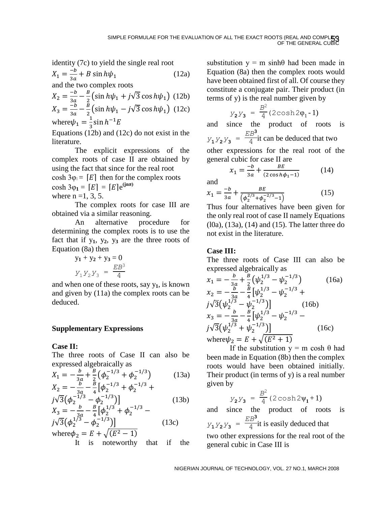identity (7c) to yield the single real root  
\n
$$
X_1 = \frac{-b}{3a} + B \sin h\psi_1
$$
\n(12a)  
\nand the two complex roots

$$
X_2 = \frac{-b}{3a} - \frac{B}{2} \left( \sin h \psi_1 + j \sqrt{3} \cos h \psi_1 \right) (12b)
$$
  

$$
X_3 = \frac{-b}{3a} - \frac{B}{2} \left( \sin h \psi_1 - j \sqrt{3} \cos h \psi_1 \right) (12c)
$$

$$
\sin^3 \frac{3a}{3a} = 2 \cos^2 \frac{3a}{3} \sinh^{-1} E
$$
  
where  $\psi_1 = \frac{1}{3} \sin h^{-1} E$ 

Equations (12b) and (12c) do not exist in the literature.

The explicit expressions of the complex roots of case II are obtained by using the fact that since for the real root cosh  $3\varphi_1 = [E]$  then for the complex roots  $\cosh 3\varphi_1 = [E] = [E]e^{(\sin \pi)}$ where  $n = 1, 3, 5$ .

The complex roots for case III are obtained via a similar reasoning.

An alternative procedure for determining the complex roots is to use the fact that if  $y_1$ ,  $y_2$ ,  $y_3$  are the three roots of Equation (8a) then

$$
y_1 + y_2 + y_3 = 0
$$
  

$$
Y_1 Y_2 Y_3 = \frac{EB^3}{4}
$$

and when one of these roots, say y**1**, is known and given by (11a) the complex roots can be deduced.

## **Supplementary Expressions**

## **Case II:**

The three roots of Case II can also be expressed algebraically as

$$
X_1 = -\frac{b}{3a} + \frac{B}{2} \left( \phi_2^{-1/3} + \phi_2^{-1/3} \right)
$$
 (13a)  

$$
X_2 = -\frac{b}{3a} - \frac{B}{4} \left[ \phi_2^{-1/3} + \phi_2^{-1/3} + \phi_2^{-1/3} + \phi_2^{-1/3} \right]
$$

$$
\int \sqrt{3} \left( \phi_2^{-1/3} - \phi_2^{-1/3} \right) \Big|_{x_3} = -\frac{b}{2} - \frac{B}{4} \left[ \phi_2^{1/3} + \phi_2^{-1/3} - \right] \tag{13b}
$$

$$
\frac{\partial^2}{\partial y^2} \left( \phi_2^{1/3} - \phi_2^{-1/3} \right) \Big|_{y_2 = E + \sqrt{(E^2 - 1)}} \qquad (13c)
$$

It is noteworthy that if the

substitution  $y = m \sinh\theta$  had been made in Equation (8a) then the complex roots would have been obtained first of all. Of course they constitute a conjugate pair. Their product (in terms of y) is the real number given by

$$
y_{2}y_{3} = \frac{B^{2}}{4}(2\cosh 2\phi_{1}-1)
$$

and since the product of roots is  $y_1 y_2 y_3 =$ *EB***<sup>3</sup>**  $\frac{12}{4}$  it can be deduced that two other expressions for the real root of the general cubic for case II are

$$
x_1 = \frac{-b}{3a} + \frac{BE}{(2\cos h\phi_1 - 1)}
$$
 (14)

and

$$
x_1 = \frac{-b}{3a} + \frac{BE}{\left(\phi_2^{2/3} + \phi_2^{-2/3} - 1\right)}\tag{15}
$$

Thus four alternatives have been given for the only real root of case II namely Equations (l0a), (13a), (14) and (15). The latter three do not exist in the literature.

## **Case III:**

The three roots of Case III can also be expressed algebraically as

$$
x_1 = -\frac{b}{3a} + \frac{B}{2} (\psi_2^{1/3} - \psi_2^{-1/3})
$$
 (16a)  
\n
$$
x_2 = -\frac{b}{3a} - \frac{B}{4} [\psi_2^{1/3} - \psi_2^{-1/3} + j\sqrt{3} (\psi_2^{1/3} - \psi_2^{-1/3})]
$$
 (16b)  
\n
$$
x_3 = -\frac{b}{3a} - \frac{B}{4} [\psi_2^{1/3} - \psi_2^{-1/3} - j\sqrt{3} (\psi_2^{1/3} + \psi_2^{-1/3})]
$$
 (16c)  
\nwhere  $\psi_2 = E + \sqrt{E^2 + 1}$ 

If the substitution  $y = m \cosh \theta$  had been made in Equation (8b) then the complex roots would have been obtained initially. Their product (in terms of y) is a real number given by

$$
Y_2 Y_3 = \frac{B^2}{4} (2 \cosh 2\psi_1 + 1)
$$

and since the product of roots is  $y_1 y_2 y_3 =$ *EB***<sup>3</sup>**  $\frac{12}{4}$  it is easily deduced that two other expressions for the real root of the general cubic in Case III is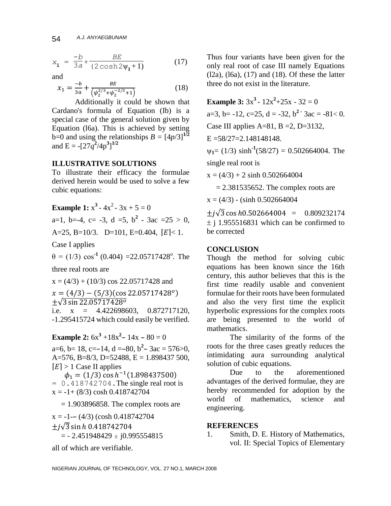$$
x_1 = \frac{-b}{3a} + \frac{BE}{(2\cosh 2\psi_1 + 1)}
$$
(17)

and

$$
x_1 = \frac{-b}{3a} + \frac{BE}{\left(\psi_2^{2/3} + \psi_2^{-2/3} + 1\right)}\tag{18}
$$

Additionally it could be shown that Cardano's formula of Equation (Ib) is a special case of the general solution given by Equation (l6a). This is achieved by setting b=0 and using the relationships  $B = \left[\frac{4p}{3}\right]^{1/2}$ and  $E = -[27q^2/4p^3]^{1/2}$ 

### **ILLUSTRATIVE SOLUTIONS**

To illustrate their efficacy the formulae derived herein would be used to solve a few cubic equations:

**Example 1:**  $x^3 - 4x^2 - 3x + 5 = 0$ a=1, b=-4, c= -3, d =5, b<sup>2</sup> - 3ac =25 > 0, A=25, B=10/3. D=101, E=0.404,  $[E] < 1$ .

Case I applies

 $\theta = (1/3) \cos^{-1}(0.404) = 22.05717428^{\circ}$ . The

three real roots are

 $x = (4/3) + (10/3) \cos 22.05717428$  and  $x = (4/3) - (5/3)(\cos 22.05717428^o)$ ±√3 sin 22.05717428° i.e.  $x = 4.422698603, 0.872717120,$ -1.295415724 which could easily be verified.

**Example 2:**  $6x^3 + 18x^2 - 14x - 80 = 0$ a=6, b= 18, c=-14, d =-80, b<sup>2</sup> - 3ac = 576>0, A=576, B=8/3, D=52488, E = 1.898437 500,

 $[E] > 1$  Case II applies  $\phi_1 = (1/3) \cos h^{-1}(1.898437500)$  $= 0.418742704$ . The single real root is  $x = -1 + (8/3) \cosh(0.418742704)$ 

 $= 1.903896858$ . The complex roots are

 $x = -1 - (4/3)$  (cosh 0.418742704)  $\pm i\sqrt{3}$  sin h 0.418742704  $=$  - 2.451948429  $\pm$  j0.995554815

all of which are verifiable.

Thus four variants have been given for the only real root of case III namely Equations  $(12a)$ ,  $(16a)$ ,  $(17)$  and  $(18)$ . Of these the latter three do not exist in the literature.

**Example 3:**  $3x^3 - 12x^2 + 25x - 32 = 0$ a=3, b= -12, c=25, d = -32, b<sup>2</sup>  $\cdot$  3ac = -81< 0. Case III applies  $A=81$ ,  $B=2$ ,  $D=3132$ ,  $E = 58/27 = 2.148148148$ .  $\psi_1 = (1/3) \sinh^{-1}(58/27) = 0.502664004$ . The single real root is

 $x = (4/3) + 2 \sinh 0.502664004$ 

 $= 2.381535652$ . The complex roots are

 $x = (4/3) - (sinh 0.502664004)$ 

 $\pm i\sqrt{3} \cos h0.502664004 = 0.809232174$  $\pm$  i 1.955516831 which can be confirmed to be corrected

#### **CONCLUSION**

Though the method for solving cubic equations has been known since the 16th century, this author believes that this is the first time readily usable and convenient formulae for their roots have been formulated and also the very first time the explicit hyperbolic expressions for the complex roots are being presented to the world of mathematics.

The similarity of the forms of the roots for the three cases greatly reduces the intimidating aura surrounding analytical solution of cubic equations.

Due to the aforementioned advantages of the derived formulae, they are hereby recommended for adoption by the world of mathematics, science and engineering.

### **REFERENCES**

1. Smith, D. E. History of Mathematics, vol. II: Special Topics of Elementary